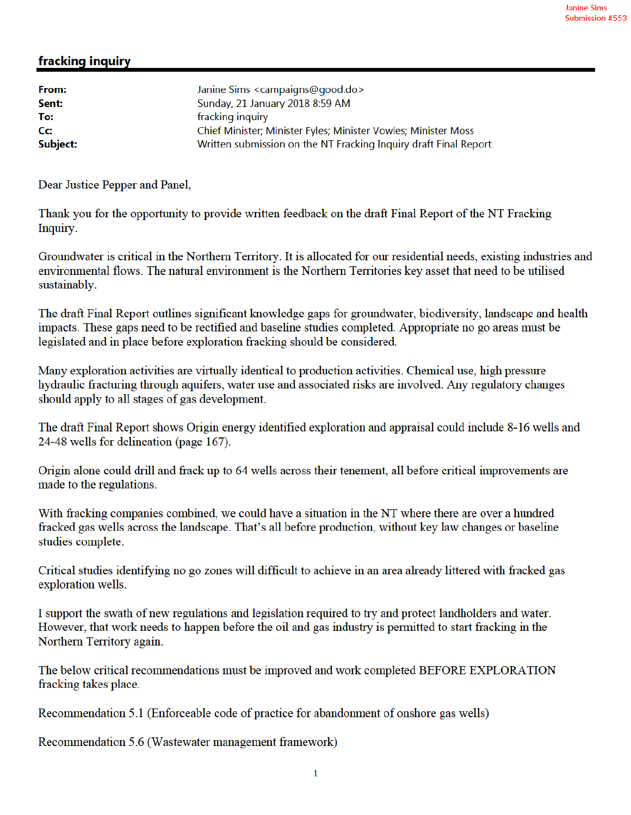## fracking inquiry

Dear Justice Pepper and Panel,

Thank you for the opportunity to provide written feedback on the draft Final Report of the NT Fracking Inquiry.

Groundwater is critical in the Northern Territory. It is allocated for our residential needs, existing industries and environmental flows. The natural environment is the Northern Territories key asset that need to be utilised sustainably.

The draft Final Report outlines significant knowledge gaps for groundwater, biodiversity, landscape and health impacts. These gaps need to be rectified and baseline studies completed. Appropriate no go areas must be legislated and in place before exploration fracking should be considered.

Many exploration activities are virtually identical to production activities. Chemical use, high pressure hydraulic fracturing through aquifers, water use and associated risks are involved. Any regulatory changes should apply to all stages of gas development.

The draft Final Report shows Origin energy identified exploration and appraisal could include 8-16 wells and 24-48 wells for delineation (page 167).

Origin alone could drill and frack up to 64 wells across their tenement, all before critical improvements are made to the regulations.

With fracking companies combined, we could have a situation in the NT where there are over a hundred fracked gas wells across the landscape. That's all before production, without key law changes or baseline studies complete.

Critical studies identifying no go zones will difficult to achieve in an area already littered with fracked gas exploration wells.

I support the swath of new regulations and legislation required to try and protect landholders and water. However, that work needs to happen before the oil and gas industry is permitted to start fracking in the Northern Territory again.

The below critical recommendations must be improved and work completed BEFORE EXPLORATION fracking takes place.

Recommendation 5.1 (Enforceable code of practice for abandonment of onshore gas wells)

Recommendation 5.6 (Wastewater management framework)